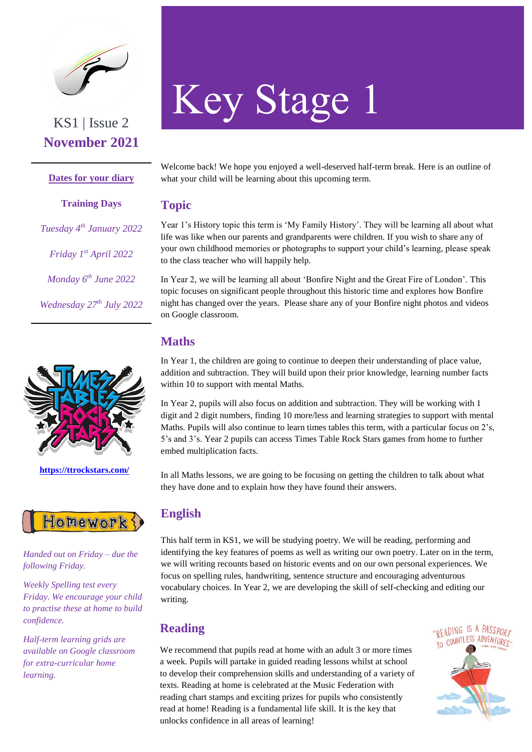

# **November 2021**

#### **Dates for your diary**

**Training Days** *Tuesday 4th January 2022 Friday 1st April 2022 Monday 6th June 2022 Wednesday 27th July 2022*



**<https://ttrockstars.com/>**



*Handed out on Friday – due the following Friday.*

*Weekly Spelling test every Friday. We encourage your child to practise these at home to build confidence.* 

*Half-term learning grids are available on Google classroom for extra-curricular home learning.* 

# Key Stage 1

Welcome back! We hope you enjoyed a well-deserved half-term break. Here is an outline of what your child will be learning about this upcoming term.

### **Topic**

Year 1's History topic this term is 'My Family History'. They will be learning all about what life was like when our parents and grandparents were children. If you wish to share any of your own childhood memories or photographs to support your child's learning, please speak to the class teacher who will happily help.

In Year 2, we will be learning all about 'Bonfire Night and the Great Fire of London'. This topic focuses on significant people throughout this historic time and explores how Bonfire night has changed over the years. Please share any of your Bonfire night photos and videos on Google classroom.

# **Maths**

In Year 1, the children are going to continue to deepen their understanding of place value, addition and subtraction. They will build upon their prior knowledge, learning number facts within 10 to support with mental Maths.

In Year 2, pupils will also focus on addition and subtraction. They will be working with 1 digit and 2 digit numbers, finding 10 more/less and learning strategies to support with mental Maths. Pupils will also continue to learn times tables this term, with a particular focus on 2's, 5's and 3's. Year 2 pupils can access Times Table Rock Stars games from home to further embed multiplication facts.

In all Maths lessons, we are going to be focusing on getting the children to talk about what they have done and to explain how they have found their answers.

# **English**

This half term in KS1, we will be studying poetry. We will be reading, performing and identifying the key features of poems as well as writing our own poetry. Later on in the term, we will writing recounts based on historic events and on our own personal experiences. We focus on spelling rules, handwriting, sentence structure and encouraging adventurous vocabulary choices. In Year 2, we are developing the skill of self-checking and editing our writing.

# **Reading**

We recommend that pupils read at home with an adult 3 or more times a week. Pupils will partake in guided reading lessons whilst at school to develop their comprehension skills and understanding of a variety of texts. Reading at home is celebrated at the Music Federation with reading chart stamps and exciting prizes for pupils who consistently read at home! Reading is a fundamental life skill. It is the key that unlocks confidence in all areas of learning!